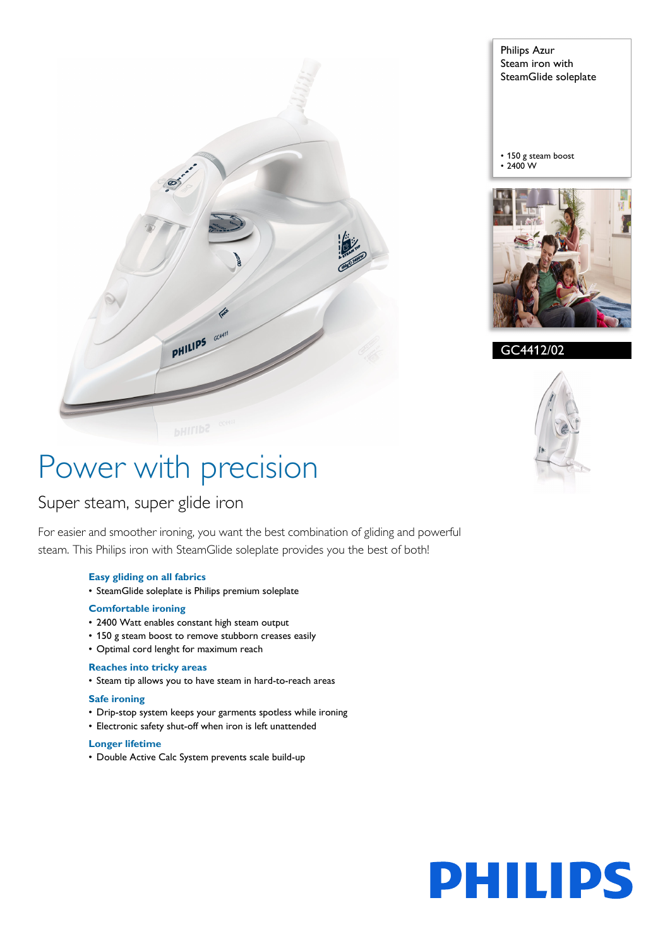

Philips Azur Steam iron with SteamGlide soleplate

• 150 g steam boost  $\cdot$  2400 W



GC4412/02



# Power with precision

# Super steam, super glide iron

For easier and smoother ironing, you want the best combination of gliding and powerful steam. This Philips iron with SteamGlide soleplate provides you the best of both!

#### **Easy gliding on all fabrics**

• SteamGlide soleplate is Philips premium soleplate

#### **Comfortable ironing**

- 2400 Watt enables constant high steam output
- 150 g steam boost to remove stubborn creases easily
- Optimal cord lenght for maximum reach

### **Reaches into tricky areas**

• Steam tip allows you to have steam in hard-to-reach areas

### **Safe ironing**

- Drip-stop system keeps your garments spotless while ironing
- Electronic safety shut-off when iron is left unattended

#### **Longer lifetime**

• Double Active Calc System prevents scale build-up

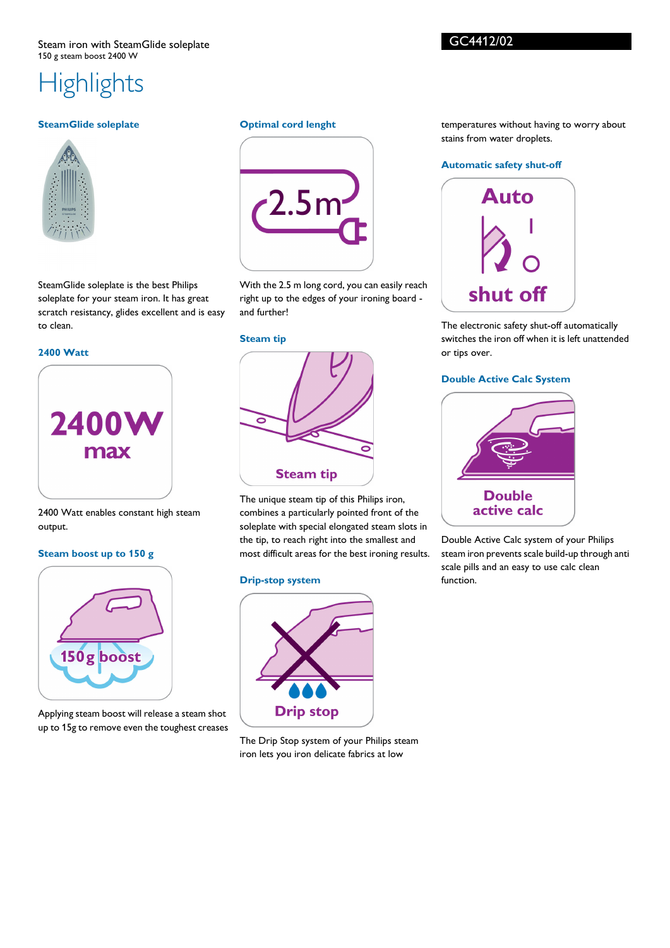# **Highlights**

## **SteamGlide soleplate**



SteamGlide soleplate is the best Philips soleplate for your steam iron. It has great scratch resistancy, glides excellent and is easy to clean.

### **2400 Watt**



#### 2400 Watt enables constant high steam output.

#### **Steam boost up to 150 g**



Applying steam boost will release a steam shot up to 15g to remove even the toughest creases

#### **Optimal cord lenght**



With the 2.5 m long cord, you can easily reach right up to the edges of your ironing board and further!

**Steam tip**



The unique steam tip of this Philips iron, combines a particularly pointed front of the soleplate with special elongated steam slots in the tip, to reach right into the smallest and most difficult areas for the best ironing results.

#### **Drip-stop system**



The Drip Stop system of your Philips steam iron lets you iron delicate fabrics at low

temperatures without having to worry about stains from water droplets.

#### **Automatic safety shut-off**



The electronic safety shut-off automatically switches the iron off when it is left unattended or tips over.

#### **Double Active Calc System**



Double Active Calc system of your Philips steam iron prevents scale build-up through anti scale pills and an easy to use calc clean function.